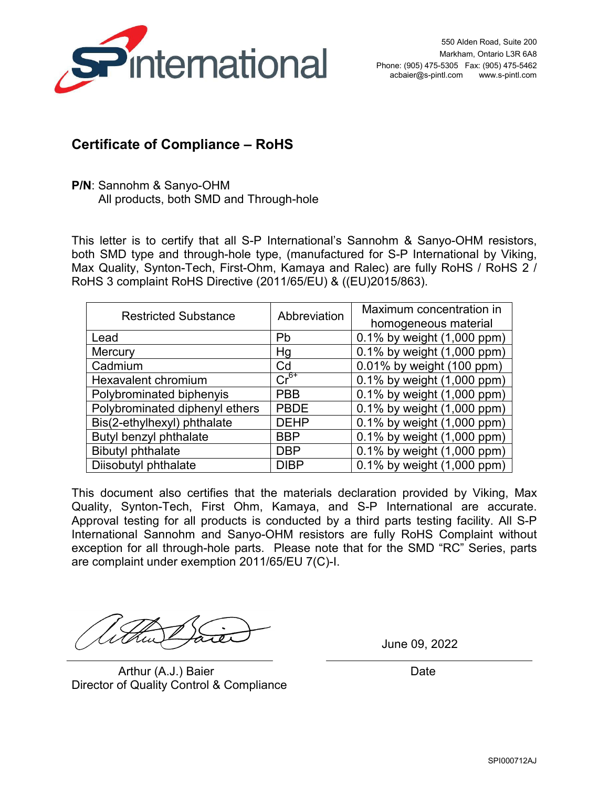

## **Certificate of Compliance – RoHS**

**P/N**: Sannohm & Sanyo-OHM All products, both SMD and Through-hole

This letter is to certify that all S-P International's Sannohm & Sanyo-OHM resistors, both SMD type and through-hole type, (manufactured for S-P International by Viking, Max Quality, Synton-Tech, First-Ohm, Kamaya and Ralec) are fully RoHS / RoHS 2 / RoHS 3 complaint RoHS Directive (2011/65/EU) & ((EU)2015/863).

| <b>Restricted Substance</b>    | Abbreviation | Maximum concentration in   |
|--------------------------------|--------------|----------------------------|
|                                |              | homogeneous material       |
| Lead                           | Pb           | 0.1% by weight (1,000 ppm) |
| Mercury                        | Hg           | 0.1% by weight (1,000 ppm) |
| Cadmium                        | Cd           | 0.01% by weight (100 ppm)  |
| Hexavalent chromium            | $Cr^{6+}$    | 0.1% by weight (1,000 ppm) |
| Polybrominated biphenyis       | <b>PBB</b>   | 0.1% by weight (1,000 ppm) |
| Polybrominated diphenyl ethers | <b>PBDE</b>  | 0.1% by weight (1,000 ppm) |
| Bis(2-ethylhexyl) phthalate    | <b>DEHP</b>  | 0.1% by weight (1,000 ppm) |
| Butyl benzyl phthalate         | <b>BBP</b>   | 0.1% by weight (1,000 ppm) |
| <b>Bibutyl phthalate</b>       | <b>DBP</b>   | 0.1% by weight (1,000 ppm) |
| Diisobutyl phthalate           | <b>DIBP</b>  | 0.1% by weight (1,000 ppm) |

This document also certifies that the materials declaration provided by Viking, Max Quality, Synton-Tech, First Ohm, Kamaya, and S-P International are accurate. Approval testing for all products is conducted by a third parts testing facility. All S-P International Sannohm and Sanyo-OHM resistors are fully RoHS Complaint without exception for all through-hole parts. Please note that for the SMD "RC" Series, parts are complaint under exemption 2011/65/EU 7(C)-I.

Arthur (A.J.) Baier **Date** Director of Quality Control & Compliance

June 09, 2022